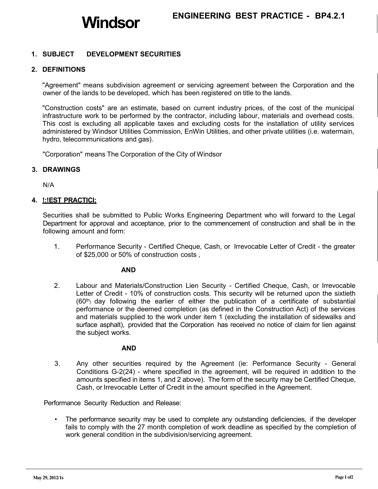# **1. SUBJECT DEVELOPMENT SECURITIES**

## **2. DEFINITIONS**

"Agreement" means subdivision agreement or servicing agreement between the Corporation and the owner of the lands to be developed, which has been registered on title to the lands.

"Construction costs" are an estimate, based on current industry prices, of the cost of the municipal infrastructure work to be performed by the contractor, including labour, materials and overhead costs. This cost is excluding all applicable taxes and excluding costs for the installation of utility services administered by Windsor Utilities Commission, EnWin Utilities, and other private utilities (i.e. watermain, hydro, telecommunications and gas).

"Corporation" means The Corporation of the City of Windsor

## **3. DRAWINGS**

N/A

## **4. !:!EST PRACTICI;**

Securities shall be submitted to Public Works Engineering Department who will forward to the Legal Department for approval and acceptance, prior to the commencement of construction and shall be in the following amount and form:

1. Performance Security - Certified Cheque, Cash, or Irrevocable Letter of Credit - the greater of \$25,000 or 50% of construction costs ,

#### **AND**

2. Labour and Materials/Construction Lien Security - Certified Cheque, Cash, or Irrevocable Letter of Credit - 10% of construction costs. This security will be returned upon the sixtieth  $(60<sup>th</sup>)$  day following the earlier of either the publication of a certificate of substantial performance or the deemed completion (as defined in the Construction Act) of the services and materials supplied to the work under item 1 (excluding the installation of sidewalks and surface asphalt), provided that the Corporation has received no notice of claim for lien against the subject works.

### **AND**

3. Any other securities required by the Agreement (ie: Performance Security - General Conditions G-2(24) - where specified in the agreement, will be required in addition to the amounts specified in items 1, and 2 above). The form of the security may be Certified Cheque, Cash, or Irrevocable Letter of Credit in the amount specified in the Agreement.

Performance Security Reduction and Release:

• The performance security may be used to complete any outstanding deficiencies, if the developer fails to comply with the 27 month completion of work deadline as specified by the completion of work general condition in the subdivision/servicing agreement.